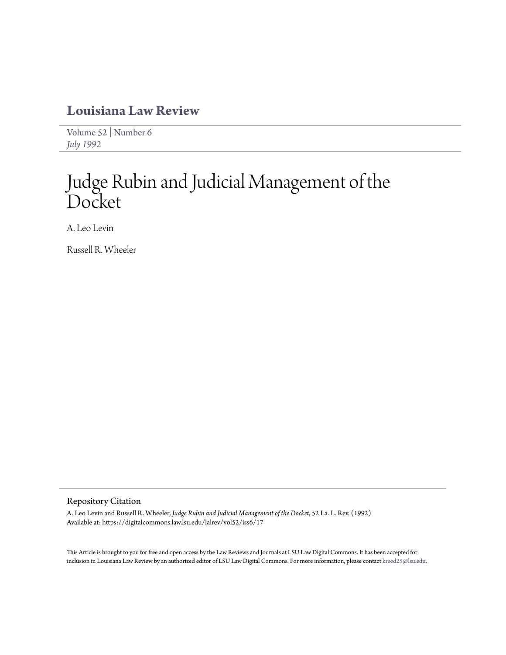# **[Louisiana Law Review](https://digitalcommons.law.lsu.edu/lalrev)**

[Volume 52](https://digitalcommons.law.lsu.edu/lalrev/vol52) | [Number 6](https://digitalcommons.law.lsu.edu/lalrev/vol52/iss6) *[July 1992](https://digitalcommons.law.lsu.edu/lalrev/vol52/iss6)*

# Judge Rubin and Judicial Management of the Docket

A. Leo Levin

Russell R. Wheeler

## Repository Citation

A. Leo Levin and Russell R. Wheeler, *Judge Rubin and Judicial Management of the Docket*, 52 La. L. Rev. (1992) Available at: https://digitalcommons.law.lsu.edu/lalrev/vol52/iss6/17

This Article is brought to you for free and open access by the Law Reviews and Journals at LSU Law Digital Commons. It has been accepted for inclusion in Louisiana Law Review by an authorized editor of LSU Law Digital Commons. For more information, please contact [kreed25@lsu.edu](mailto:kreed25@lsu.edu).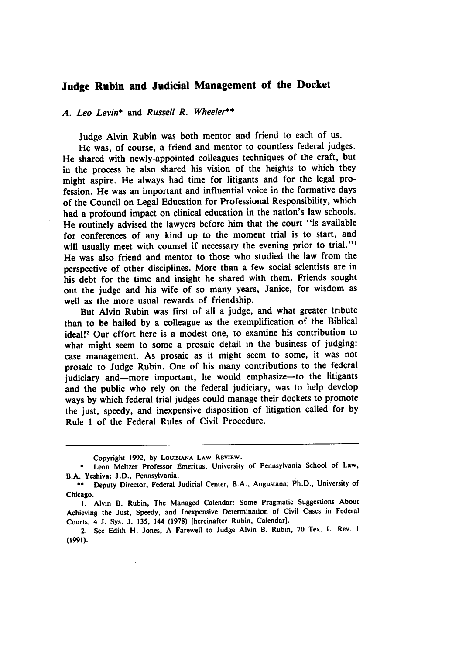# **Judge Rubin and Judicial Management of the Docket**

# *A. Leo Levin\** and *Russell R. Wheeler\*\**

Judge Alvin Rubin was both mentor and friend to each of us.

He was, of course, a friend and mentor to countless federal judges. He shared with newly-appointed colleagues techniques of the craft, but in the process he also shared his vision of the heights to which they might aspire. He always had time for litigants and for the legal profession. He was an important and influential voice in the formative days of the Council on Legal Education for Professional Responsibility, which had a profound impact on clinical education in the nation's law schools. He routinely advised the lawyers before him that the court "is available for conferences of any kind up to the moment trial is to start, and will usually meet with counsel if necessary the evening prior to trial."<sup>1</sup> He was also friend and mentor to those who studied the law from the perspective of other disciplines. More than a few social scientists are in his debt for the time and insight he shared with them. Friends sought out the judge and his wife of so many years, Janice, for wisdom as well as the more usual rewards of friendship.

But Alvin Rubin was first of all a judge, and what greater tribute than to be hailed **by** a colleague as the exemplification of the Biblical ideal!<sup>2</sup> Our effort here is a modest one, to examine his contribution to what might seem to some a prosaic detail in the business of judging: case management. As prosaic as it might seem to some, it was not prosaic to Judge Rubin. One of his many contributions to the federal judiciary and-more important, he would emphasize-to the litigants and the public who rely on the federal judiciary, was to help develop ways **by** which federal trial judges could manage their dockets to promote the just, speedy, and inexpensive disposition of litigation called for **by** Rule **1** of the Federal Rules of Civil Procedure.

Copyright **1992, by LOuISiANA LAW REVIEW.**

**<sup>\*</sup>** Leon Meltzer Professor Emeritus, University of Pennsylvania School of Law, B.A. Yeshiva; **J.D.,** Pennsylvania.

**<sup>\*\*</sup>** Deputy Director, Federal Judicial Center, B.A., Augustana; Ph.D., University of Chicago.

**<sup>1.</sup>** Alvin B. Rubin, The Managed Calendar: Some Pragmatic Suggestions About Achieving the Just, Speedy, and Inexpensive Determination of Civil Cases in Federal Courts, 4 **J.** Sys. **J. 135,** 144 **(1978)** [hereinafter Rubin, Calendar].

<sup>2.</sup> See Edith H. Jones, **A** Farewell to Judge Alvin B. Rubin, **70** Tex. L. Rev. **I (1991).**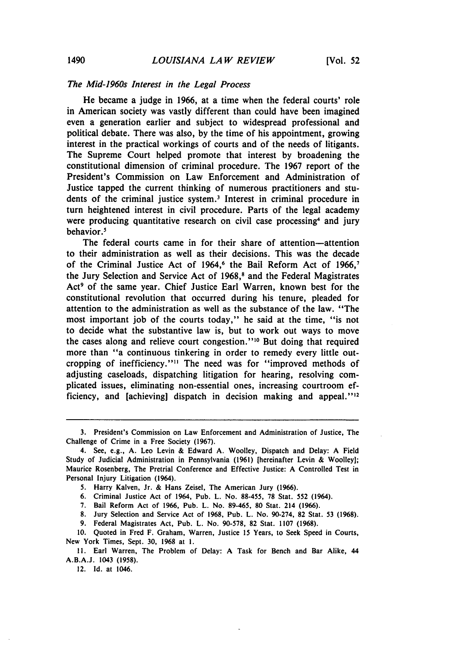### *The Mid-1960s Interest in the Legal Process*

He became a judge in **1966,** at a time when the federal courts' role in American society was vastly different than could have been imagined even a generation earlier and subject to widespread professional and political debate. There was also, **by** the time of his appointment, growing interest in the practical workings of courts and of the needs of litigants. The Supreme Court helped promote that interest **by** broadening the constitutional dimension of criminal procedure. The **1967** report of the President's Commission on Law Enforcement and Administration of Justice tapped the current thinking of numerous practitioners and students of the criminal justice system.' Interest in criminal procedure in turn heightened interest in civil procedure. Parts of the legal academy were producing quantitative research on civil case processing<sup>4</sup> and jury behavior.'

The federal courts came in for their share of attention-attention to their administration as well as their decisions. This was the decade of the Criminal Justice Act of 1964,<sup>6</sup> the Bail Reform Act of 1966,<sup>7</sup> the Jury Selection and Service Act of **1968,8** and the Federal Magistrates Act<sup>9</sup> of the same year. Chief Justice Earl Warren, known best for the constitutional revolution that occurred during his tenure, pleaded for attention to the administration as well as the substance of the law. "The most important **job** of the courts today," he said at the time, "is not to decide what the substantive law is, but to work out ways to move the cases along and relieve court congestion."<sup>10</sup> But doing that required more than "a continuous tinkering in order to remedy every little outcropping of inefficiency."" The need was for "improved methods of adjusting caseloads, dispatching litigation for hearing, resolving complicated issues, eliminating non-essential ones, increasing courtroom efficiency, and [achieving] dispatch in decision making and appeal."<sup>12</sup>

- **6.** Criminal Justice Act of 1964, Pub. L. No. **88-455, 78** Stat. **552** (1964).
- **7.** Bail Reform Act of **1966,** Pub. L. No. **89-465, 80** Stat. 214 **(1966).**
- **8.** Jury Selection and Service Act of **1968,** Pub. L. No. 90-274, **82** Stat. **53 (1968).**
- **9.** Federal Magistrates Act, Pub. L. No. **90-578, 82** Stat. **1107 (1968).**

12. **Id.** at 1046.

**<sup>3.</sup>** President's Commission on Law Enforcement and Administration of Justice, The Challenge of Crime in a Free Society **(1967).**

<sup>4.</sup> See, e.g., **A.** Leo Levin **&** Edward **A.** Woolley, Dispatch and Delay: **A** Field Study of Judicial Administration in Pennsylvania **(1961)** [hereinafter Levin **&** Woolley]; Maurice Rosenberg, The Pretrial Conference and Effective Justice: **A** Controlled Test in Personal Injury Litigation (1964).

**<sup>5.</sup>** Harry Kalven, Jr. **&** Hans Zeisel, The American Jury **(1966).**

**<sup>10.</sup>** Quoted in Fred F. Graham, Warren, Justice **15** Years, to Seek Speed in Courts, New York Times, Sept. **30, 1968** at **I.**

**<sup>11.</sup>** Earl Warren, The Problem of Delay: **A** Task for Bench and Bar Alike, 44 **A.B.A.J. 1043 (1958).**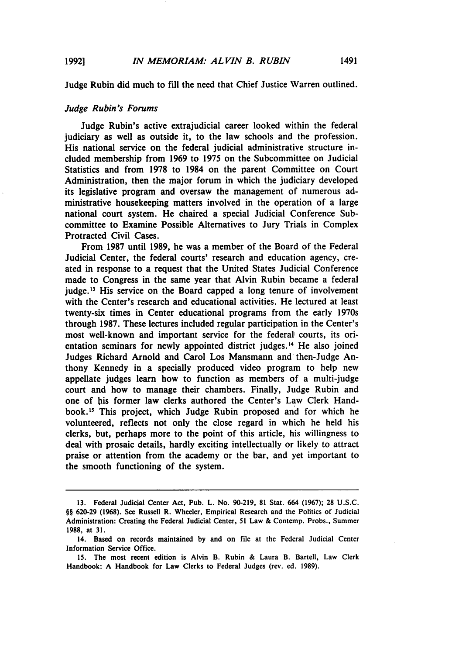Judge Rubin did much to **fill** the need that Chief Justice Warren outlined.

#### *Judge Rubin's Forums*

Judge Rubin's active extrajudicial career looked within the federal judiciary as well as outside it, to the law schools and the profession. His national service on the federal judicial administrative structure included membership from **1969** to **1975** on the Subcommittee on Judicial Statistics and from **1978** to 1984 on the parent Committee on Court Administration, then the major forum in which the judiciary developed its legislative program and oversaw the management of numerous administrative housekeeping matters involved in the operation of a large national court system. He chaired a special Judicial Conference Subcommittee to Examine Possible Alternatives to Jury Trials in Complex Protracted Civil Cases.

From **1987** until **1989,** he was a member of the Board of the Federal Judicial Center, the federal courts' research and education agency, created in response to a request that the United States Judicial Conference made to Congress in the same year that Alvin Rubin became a federal judge.<sup>13</sup> His service on the Board capped a long tenure of involvement with the Center's research and educational activities. He lectured at least twenty-six times in Center educational programs from the early 1970s through **1987.** These lectures included regular participation in the Center's most well-known and important service for the federal courts, its orientation seminars for newly appointed district judges.<sup>14</sup> He also joined Judges Richard Arnold and Carol Los Mansmann and then-Judge Anthony Kennedy in a specially produced video program to help new appellate judges learn how to function as members of a multi-judge court and how to manage their chambers. Finally, Judge Rubin and one of his former law clerks authored the Center's Law Clerk Handbook."' This project, which Judge Rubin proposed and for which he volunteered, reflects not only the close regard in which he held his clerks, but, perhaps more to the point of this article, his willingness to deal with prosaic details, hardly exciting intellectually or likely to attract praise or attention from the academy or the bar, and yet important to the smooth functioning of the system.

**<sup>13.</sup>** Federal Judicial Center Act, Pub. L. No. **90-219, 81** Stat. 664 **(1967); 28 U.S.C.** §§ 620-29 (1968). See Russell R. Wheeler, Empirical Research and the Politics of Judicial Administration: Creating the Federal Judicial Center, **51** Law **&** Contemp. Probs., Summer **1988,** at **31.**

<sup>14.</sup> Based on records maintained **by** and on file at the Federal Judicial Center Information Service Office.

**<sup>15.</sup>** The most recent edition is Alvin B. Rubin **&** Laura B. Bartell, Law Clerk Handbook: **A** Handbook for Law Clerks to Federal Judges (rev. ed. **1989).**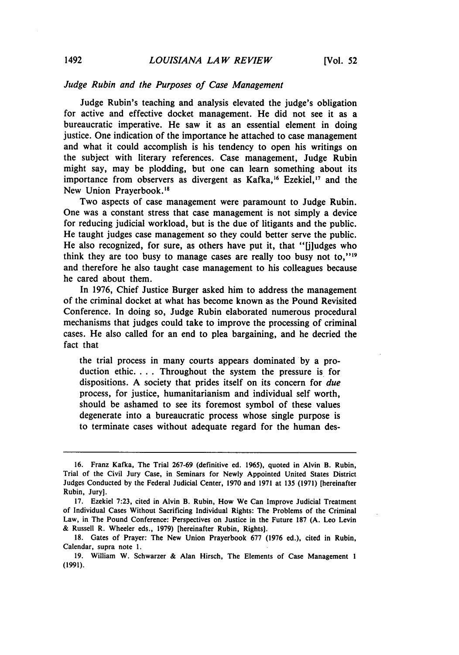### *Judge Rubin and the Purposes of Case Management*

Judge Rubin's teaching and analysis elevated the judge's obligation for active and effective docket management. He did not see it as a bureaucratic imperative. He saw it as an essential element in doing justice. One indication of the importance he attached to case management and what it could accomplish is his tendency to open his writings on the subject with literary references. Case management, Judge Rubin might say, may be plodding, but one can learn something about its importance from observers as divergent as Kafka,<sup>16</sup> Ezekiel,<sup>17</sup> and the New Union Prayerbook.<sup>18</sup>

Two aspects of case management were paramount to Judge Rubin. One was a constant stress that case management is not simply a device for reducing judicial workload, but is the due of litigants and the public. He taught judges case management so they could better serve the public. He also recognized, for sure, as others have put it, that "[j]udges who think they are too busy to manage cases are really too busy not to," $19$ and therefore he also taught case management to his colleagues because he cared about them.

In 1976, Chief Justice Burger asked him to address the management of the criminal docket at what has become known as the Pound Revisited Conference. In doing so, Judge Rubin elaborated numerous procedural mechanisms that judges could take to improve the processing of criminal cases. He also called for an end to plea bargaining, and he decried the fact that

the trial process in many courts appears dominated by a production ethic.... Throughout the system the pressure is for dispositions. A society that prides itself on its concern for *due* process, for justice, humanitarianism and individual self worth, should be ashamed to see its foremost symbol of these values degenerate into a bureaucratic process whose single purpose is to terminate cases without adequate regard for the human des-

<sup>16.</sup> Franz Kafka, The Trial 267-69 (definitive ed. **1965),** quoted in Alvin B. Rubin, Trial of the Civil Jury Case, in Seminars for Newly Appointed United States District Judges Conducted **by** the Federal Judicial Center, 1970 and 1971 at **135** (1971) [hereinafter Rubin, Jury].

<sup>17.</sup> Ezekiel 7:23, cited in Alvin B. Rubin, How We Can Improve Judicial Treatment of Individual Cases Without Sacrificing Individual Rights: The Problems of the Criminal Law, in The Pound Conference: Perspectives on Justice in the Future 187 (A. Leo Levin & Russell R. Wheeler eds., 1979) [hereinafter Rubin, Rights].

<sup>18.</sup> Gates of Prayer: The New Union Prayerbook 677 (1976 ed.), cited in Rubin, Calendar, supra note 1.

<sup>19.</sup> William W. Schwarzer & Alan Hirsch, The Elements of Case Management 1 (1991).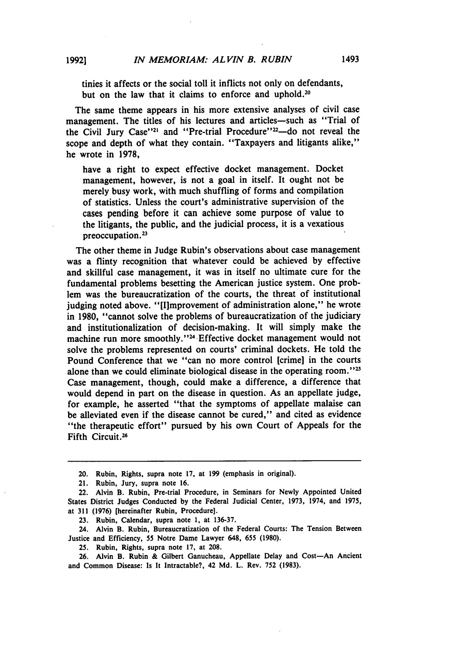tinies it affects or the social toll it inflicts not only on defendants, but on the law that it claims to enforce and uphold.<sup>20</sup>

The same theme appears in his more extensive analyses of civil case management. The titles of his lectures and articles—such as "Trial of the Civil Jury Case"<sup>21</sup> and "Pre-trial Procedure"<sup>22</sup>-do not reveal the scope and depth of what they contain. "Taxpayers and litigants alike," he wrote in 1978,

have a right to expect effective docket management. Docket management, however, is not a goal in itself. It ought not be merely busy work, with much shuffling of forms and compilation of statistics. Unless the court's administrative supervision of the cases pending before it can achieve some purpose of value to the litigants, the public, and the judicial process, it is a vexatious preoccupation. **<sup>2</sup>**

The other theme in Judge Rubin's observations about case management was a flinty recognition that whatever could be achieved **by** effective and skillful case management, it was in itself no ultimate cure for the fundamental problems besetting the American justice system. One problem was the bureaucratization of the courts, the threat of institutional judging noted above. "[I]mprovement of administration alone," he wrote in 1980, "cannot solve the problems of bureaucratization of the judiciary and institutionalization of decision-making. It will simply make the machine run more smoothly."<sup>24</sup> Effective docket management would not solve the problems represented on courts' criminal dockets. He told the Pound Conference that we "can no more control [crime] in the courts alone than we could eliminate biological disease in the operating room."<sup>25</sup> Case management, though, could make a difference, a difference that would depend in part on the disease in question. As an appellate judge, for example, he asserted "that the symptoms of appellate malaise can be alleviated even if the disease cannot be cured," and cited as evidence "the therapeutic effort" pursued **by** his own Court of Appeals for the Fifth Circuit.<sup>26</sup>

- **25.** Rubin, Rights, supra note **17,** at **208.**
- **26.** Alvin B. Rubin **&** Gilbert Ganucheau, Appellate Delay and Cost-An Ancient and Common Disease: Is It Intractable?, 42 **Md.** L. Rev. **752 (1983).**

<sup>20.</sup> Rubin, Rights, supra note **17,** at 199 (emphasis in original).

<sup>21.</sup> Rubin, Jury, supra note 16.

<sup>22.</sup> Alvin B. Rubin, Pre-trial Procedure, in Seminars for Newly Appointed United States District Judges Conducted **by** the Federal Judicial Center, 1973, 1974, and 1975, at 311 (1976) [hereinafter Rubin, Procedure].

**<sup>23.</sup>** Rubin, Calendar, supra note **1,** at **136-37.**

<sup>24.</sup> Alvin B. Rubin, Bureaucratization of the Federal Courts: The Tension Between Justice and Efficiency, 55 Notre Dame Lawyer 648, 655 **(1980).**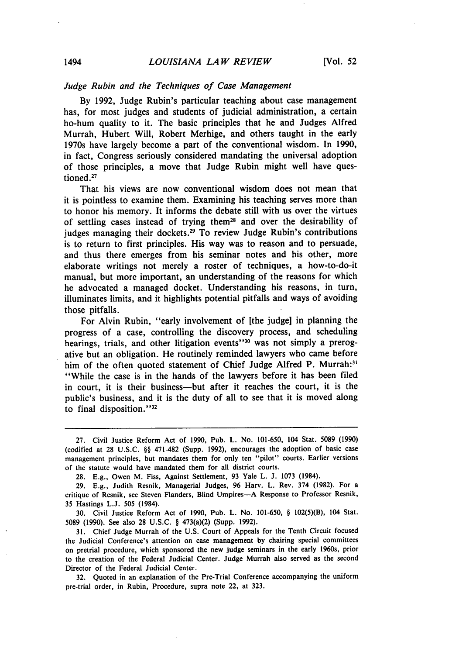#### *Judge Rubin and the Techniques of Case Management*

**By** 1992, Judge Rubin's particular teaching about case management has, for most judges and students of judicial administration, a certain ho-hum quality to it. The basic principles that he and Judges Alfred Murrah, Hubert Will, Robert Merhige, and others taught in the early 1970s have largely become a part of the conventional wisdom. In **1990,** in fact, Congress seriously considered mandating the universal adoption of those principles, a move that Judge Rubin might well have questioned **.27**

That his views are now conventional wisdom does not mean that it is pointless to examine them. Examining his teaching serves more than to honor his memory. It informs the debate still with us over the virtues of settling cases instead of trying them28 and over the desirability of judges managing their dockets.<sup>29</sup> To review Judge Rubin's contributions is to return to first principles. His way was to reason and to persuade, and thus there emerges from his seminar notes and his other, more elaborate writings not merely a roster of techniques, a how-to-do-it manual, but more important, an understanding of the reasons for which he advocated a managed docket. Understanding his reasons, in turn, illuminates limits, and it highlights potential pitfalls and ways of avoiding those pitfalls.

For Alvin Rubin, "early involvement of [the judge] in planning the progress of a case, controlling the discovery process, and scheduling hearings, trials, and other litigation events"<sup>30</sup> was not simply a prerogative but an obligation. He routinely reminded lawyers who came before him of the often quoted statement of Chief Judge Alfred P. Murrah:<sup>3</sup> "While the case is in the hands of the lawyers before it has been filed in court, it is their business-but after it reaches the court, it is the public's business, and it is the duty of all to see that it is moved along to final disposition." $32$ 

30. Civil Justice Reform Act of 1990, Pub. L. No. 101-650, § 102(5)(B), 104 Stat. **5089** (1990). See also **28** U.S.C. § 473(a)(2) (Supp. **1992).**

**31.** Chief Judge Murrah of the **U.S.** Court of Appeals for the Tenth Circuit focused the Judicial Conference's attention on case management **by** chairing special committees on pretrial procedure, which sponsored the new judge seminars in the early 1960s, prior to the creation of the Federal Judicial Center. Judge Murrah also served as the second Director of the Federal Judicial Center.

**32.** Quoted in an explanation of the Pre-Trial Conference accompanying the uniform pre-trial order, in Rubin, Procedure, supra note 22, at **323.**

<sup>27.</sup> Civil Justice Reform Act of 1990, Pub. L. No. 101-650, 104 Stat. 5089 (1990) (codified at 28 U.S.C. §§ 471-482 (Supp. 1992), encourages the adoption of basic case management principles, but mandates them for only ten "pilot" courts. Earlier versions of the statute would have mandated them for all district courts.

<sup>28.</sup> E.g., Owen M. Fiss, Against Settlement, 93 Yale L. J. 1073 (1984).

<sup>29.</sup> E.g., Judith Resnik, Managerial Judges, 96 Harv. L. Rev. 374 (1982). For a critique of Resnik, see Steven Flanders, Blind Umpires-A Response to Professor Resnik, 35 Hastings L.J. 505 (1984).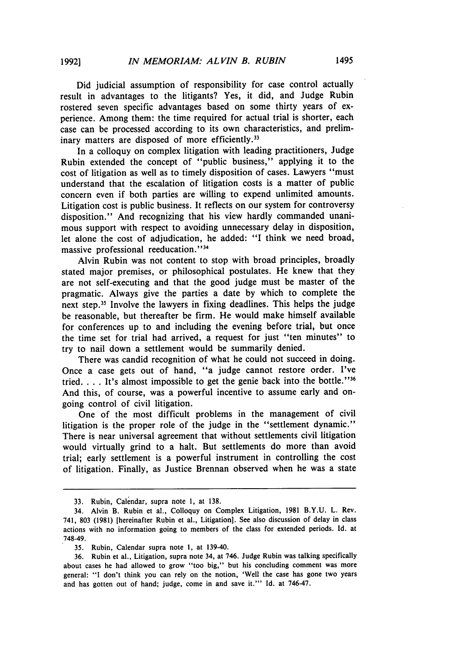Did judicial assumption of responsibility for case control actually result in advantages to the litigants? Yes, it did, and Judge Rubin rostered seven specific advantages based on some thirty years of experience. Among them: the time required for actual trial is shorter, each case can be processed according to its own characteristics, and preliminary matters are disposed of more efficiently.<sup>33</sup>

In a colloquy on complex litigation with leading practitioners, Judge Rubin extended the concept of "public business," applying it to the cost of litigation as well as to timely disposition of cases. Lawyers "must understand that the escalation of litigation costs is a matter of public concern even if both parties are willing to expend unlimited amounts. Litigation cost is public business. It reflects on our system for controversy disposition." And recognizing that his view hardly commanded unanimous support with respect to avoiding unnecessary delay in disposition, let alone the cost of adjudication, he added: "I think we need broad, massive professional reeducation."<sup>34</sup>

Alvin Rubin was not content to stop with broad principles, broadly stated major premises, or philosophical postulates. He knew that they are not self-executing and that the good judge must be master of the pragmatic. Always give the parties a date by which to complete the next step.<sup>35</sup> Involve the lawyers in fixing deadlines. This helps the judge be reasonable, but thereafter be firm. He would make himself available for conferences up to and including the evening before trial, but once the time set for trial had arrived, a request for just "ten minutes" to try to nail down a settlement would be summarily denied.

There was candid recognition of what he could not succeed in doing. Once a case gets out of hand, "a judge cannot restore order. I've tried.  $\ldots$  It's almost impossible to get the genie back into the bottle."<sup>36</sup> And this, of course, was a powerful incentive to assume early and ongoing control of civil litigation.

One of the most difficult problems in the management of civil litigation is the proper role of the judge in the "settlement dynamic." There is near universal agreement that without settlements civil litigation would virtually grind to a halt. But settlements do more than avoid trial; early settlement is a powerful instrument in controlling the cost of litigation. Finally, as Justice Brennan observed when he was a state

<sup>33.</sup> Rubin, Calendar, supra note **1,** at 138.

<sup>34.</sup> Alvin B. Rubin et al., Colloquy on Complex Litigation, 1981 B.Y.U. L. Rev. 741, 803 (1981) [hereinafter Rubin et al., Litigation]. See also discussion of delay in class actions with no information going to members of the class for extended periods. Id. at 748-49.

<sup>35.</sup> Rubin, Calendar supra note I, at 139-40.

<sup>36.</sup> Rubin et al., Litigation, supra note 34, at 746. Judge Rubin was talking specifically about cases he had allowed to grow "too big," but his concluding comment was more general: "I don't think you can rely on the notion, 'Well the case has gone two years and has gotten out of hand; judge, come in and save it."' Id. at 746-47.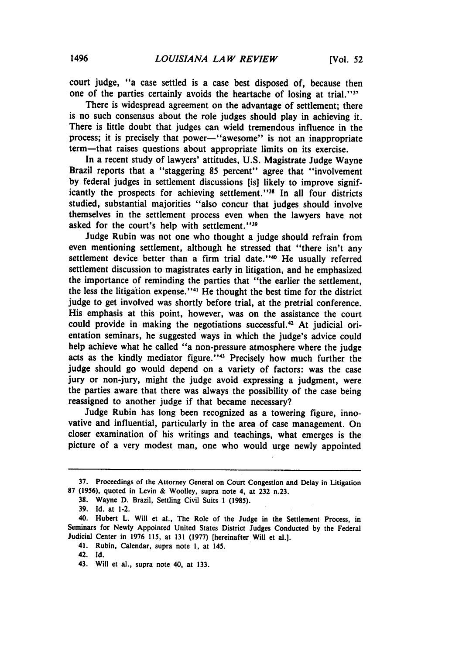court judge, "a case settled is a case best disposed of, because then one of the parties certainly avoids the heartache of losing at trial."<sup>37</sup>

There is widespread agreement on the advantage of settlement; there is no such consensus about the role judges should play in achieving it. There is little doubt that judges can wield tremendous influence in the process; it is precisely that power-'awesome'' is not an inappropriate term-that raises questions about appropriate limits on its exercise.

In a recent study of lawyers' attitudes, **U.S.** Magistrate Judge Wayne Brazil reports that a "staggering **85** percent" agree that "involvement **by** federal judges in settlement discussions [is] likely to improve significantly the prospects for achieving settlement."<sup>38</sup> In all four districts studied, substantial majorities "also concur that judges should involve themselves in the settlement process even when the lawyers have not asked for the court's help with settlement."<sup>39</sup>

Judge Rubin was not one who thought a judge should refrain from even mentioning settlement, although he stressed that "there isn't any settlement device better than a firm trial date."<sup>40</sup> He usually referred settlement discussion to magistrates early in litigation, and he emphasized the importance of reminding the parties that "the earlier the settlement, the less the litigation expense."<sup>41</sup> He thought the best time for the district judge to get involved was shortly before trial, at the pretrial conference. His emphasis at this point, however, was on the assistance the court could provide in making the negotiations successful.<sup>42</sup> At judicial orientation seminars, he suggested ways in which the judge's advice could help achieve what he called "a non-pressure atmosphere where the judge acts as the kindly mediator figure."<sup>43</sup> Precisely how much further the judge should go would depend on a variety of factors: was the case jury or non-jury, might the judge avoid expressing a judgment, were the parties aware that there was always the possibility of the case being reassigned to another judge if that became necessary?

Judge Rubin has long been recognized as a towering figure, innovative and influential, particularly in the area of case management. On closer examination of his writings and teachings, what emerges is the picture of a very modest man, one who would urge newly appointed

- **38.** Wayne **D.** Brazil, Settling Civil Suits **1 (1985).**
- **39. Id.** at 1-2.

- 41. Rubin, Calendar, supra note **1,** at 145.
- 42. **Id.**

**<sup>37.</sup>** Proceedings of the Attorney General on Court Congestion and Delay in Litigation **87 (1956),** quoted in Levin **&** Woolley, supra note 4, at **232** n.23.

<sup>40.</sup> Hubert L. Will et al., The Role of the Judge in the Settlement Process, in Seminars for Newly Appointed United States District Judges Conducted **by** the Federal Judicial Center in **1976 115,** at **131 (1977)** [hereinafter Will et **al.].**

<sup>43.</sup> Will et al., supra note 40, at **133.**